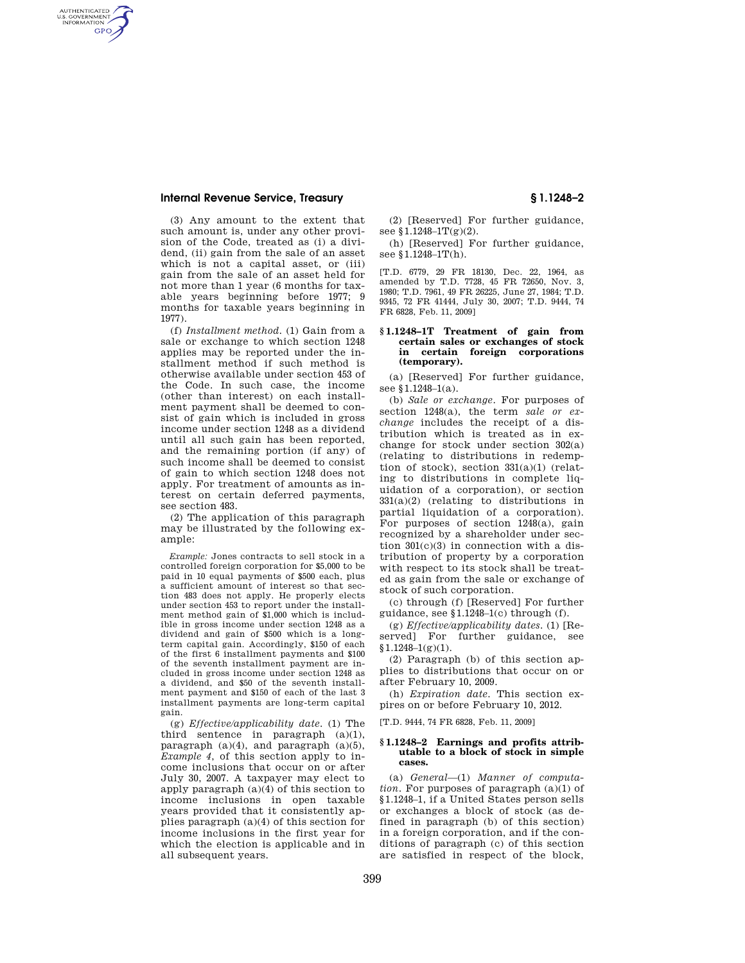# **Internal Revenue Service, Treasury § 1.1248–2**

AUTHENTICATED<br>U.S. GOVERNMENT<br>INFORMATION **GPO** 

> (3) Any amount to the extent that such amount is, under any other provision of the Code, treated as (i) a dividend, (ii) gain from the sale of an asset which is not a capital asset, or (iii) gain from the sale of an asset held for not more than 1 year (6 months for taxable years beginning before 1977; 9 months for taxable years beginning in 1977).

> (f) *Installment method.* (1) Gain from a sale or exchange to which section 1248 applies may be reported under the installment method if such method is otherwise available under section 453 of the Code. In such case, the income (other than interest) on each installment payment shall be deemed to consist of gain which is included in gross income under section 1248 as a dividend until all such gain has been reported, and the remaining portion (if any) of such income shall be deemed to consist of gain to which section 1248 does not apply. For treatment of amounts as interest on certain deferred payments, see section 483.

(2) The application of this paragraph may be illustrated by the following example:

*Example:* Jones contracts to sell stock in a controlled foreign corporation for \$5,000 to be paid in 10 equal payments of \$500 each, plus a sufficient amount of interest so that section 483 does not apply. He properly elects under section 453 to report under the installment method gain of \$1,000 which is includible in gross income under section 1248 as a dividend and gain of \$500 which is a longterm capital gain. Accordingly, \$150 of each of the first 6 installment payments and \$100 of the seventh installment payment are included in gross income under section 1248 as a dividend, and \$50 of the seventh installment payment and \$150 of each of the last 3 installment payments are long-term capital gain.

(g) *Effective/applicability date*. (1) The third sentence in paragraph (a)(1), paragraph  $(a)(4)$ , and paragraph  $(a)(5)$ , *Example 4*, of this section apply to income inclusions that occur on or after July 30, 2007. A taxpayer may elect to apply paragraph (a)(4) of this section to income inclusions in open taxable years provided that it consistently applies paragraph (a)(4) of this section for income inclusions in the first year for which the election is applicable and in all subsequent years.

(2) [Reserved] For further guidance, see  $$1.1248-1T(g)(2)$ .

(h) [Reserved] For further guidance, see §1.1248–1T(h).

[T.D. 6779, 29 FR 18130, Dec. 22, 1964, as amended by T.D. 7728, 45 FR 72650, Nov. 3, 1980; T.D. 7961, 49 FR 26225, June 27, 1984; T.D. 9345, 72 FR 41444, July 30, 2007; T.D. 9444, 74 FR 6828, Feb. 11, 2009]

## **§ 1.1248–1T Treatment of gain from certain sales or exchanges of stock in certain foreign corporations (temporary).**

(a) [Reserved] For further guidance, see §1.1248-1(a).

(b) *Sale or exchange*. For purposes of section 1248(a), the term *sale or exchange* includes the receipt of a distribution which is treated as in exchange for stock under section 302(a) (relating to distributions in redemption of stock), section 331(a)(1) (relating to distributions in complete liquidation of a corporation), or section  $331(a)(2)$  (relating to distributions in partial liquidation of a corporation). For purposes of section 1248(a), gain recognized by a shareholder under section  $301(c)(3)$  in connection with a distribution of property by a corporation with respect to its stock shall be treated as gain from the sale or exchange of stock of such corporation.

(c) through (f) [Reserved] For further guidance, see §1.1248–1(c) through (f).

(g) *Effective/applicability dates*. (1) [Reserved] For further guidance, see  $$1.1248-1(g)(1).$ 

(2) Paragraph (b) of this section applies to distributions that occur on or after February 10, 2009.

(h) *Expiration date*. This section expires on or before February 10, 2012.

[T.D. 9444, 74 FR 6828, Feb. 11, 2009]

#### **§ 1.1248–2 Earnings and profits attributable to a block of stock in simple cases.**

(a) *General*—(1) *Manner of computation.* For purposes of paragraph (a)(1) of §1.1248–1, if a United States person sells or exchanges a block of stock (as defined in paragraph (b) of this section) in a foreign corporation, and if the conditions of paragraph (c) of this section are satisfied in respect of the block,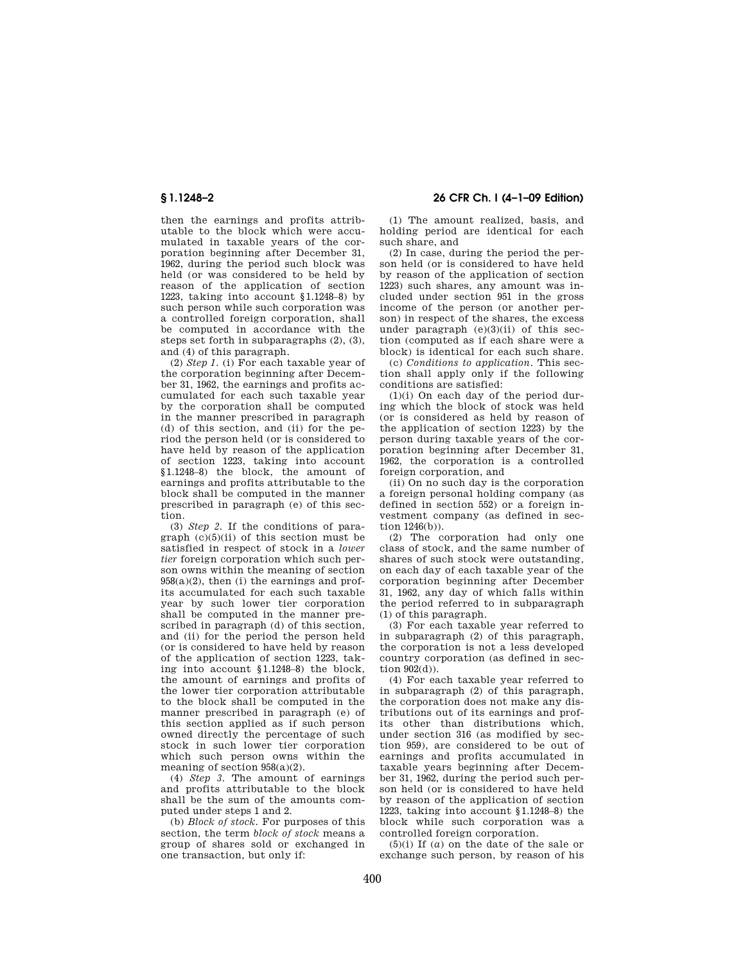then the earnings and profits attributable to the block which were accumulated in taxable years of the corporation beginning after December 31, 1962, during the period such block was held (or was considered to be held by reason of the application of section 1223, taking into account §1.1248–8) by such person while such corporation was a controlled foreign corporation, shall be computed in accordance with the steps set forth in subparagraphs (2), (3), and (4) of this paragraph.

(2) *Step 1.* (i) For each taxable year of the corporation beginning after December 31, 1962, the earnings and profits accumulated for each such taxable year by the corporation shall be computed in the manner prescribed in paragraph  $(d)$  of this section, and (ii) for the period the person held (or is considered to have held by reason of the application of section 1223, taking into account §1.1248–8) the block, the amount of earnings and profits attributable to the block shall be computed in the manner prescribed in paragraph (e) of this section.

(3) *Step 2.* If the conditions of paragraph  $(c)(5)(ii)$  of this section must be satisfied in respect of stock in a *lower tier* foreign corporation which such person owns within the meaning of section  $958(a)(2)$ , then (i) the earnings and profits accumulated for each such taxable year by such lower tier corporation shall be computed in the manner prescribed in paragraph (d) of this section, and (ii) for the period the person held (or is considered to have held by reason of the application of section 1223, taking into account §1.1248–8) the block, the amount of earnings and profits of the lower tier corporation attributable to the block shall be computed in the manner prescribed in paragraph (e) of this section applied as if such person owned directly the percentage of such stock in such lower tier corporation which such person owns within the meaning of section 958(a)(2).

(4) *Step 3.* The amount of earnings and profits attributable to the block shall be the sum of the amounts computed under steps 1 and 2.

(b) *Block of stock.* For purposes of this section, the term *block of stock* means a group of shares sold or exchanged in one transaction, but only if:

(1) The amount realized, basis, and holding period are identical for each such share, and

(2) In case, during the period the person held (or is considered to have held by reason of the application of section 1223) such shares, any amount was included under section 951 in the gross income of the person (or another person) in respect of the shares, the excess under paragraph  $(e)(3)(ii)$  of this section (computed as if each share were a block) is identical for each such share.

(c) *Conditions to application.* This section shall apply only if the following conditions are satisfied:

(1)(i) On each day of the period during which the block of stock was held (or is considered as held by reason of the application of section 1223) by the person during taxable years of the corporation beginning after December 31, 1962, the corporation is a controlled foreign corporation, and

(ii) On no such day is the corporation a foreign personal holding company (as defined in section 552) or a foreign investment company (as defined in section 1246(b)).

(2) The corporation had only one class of stock, and the same number of shares of such stock were outstanding, on each day of each taxable year of the corporation beginning after December 31, 1962, any day of which falls within the period referred to in subparagraph (1) of this paragraph.

(3) For each taxable year referred to in subparagraph (2) of this paragraph, the corporation is not a less developed country corporation (as defined in section 902(d)).

(4) For each taxable year referred to in subparagraph (2) of this paragraph, the corporation does not make any distributions out of its earnings and profits other than distributions which, under section 316 (as modified by section 959), are considered to be out of earnings and profits accumulated in taxable years beginning after December 31, 1962, during the period such person held (or is considered to have held by reason of the application of section 1223, taking into account §1.1248–8) the block while such corporation was a controlled foreign corporation.

(5)(i) If (*a*) on the date of the sale or exchange such person, by reason of his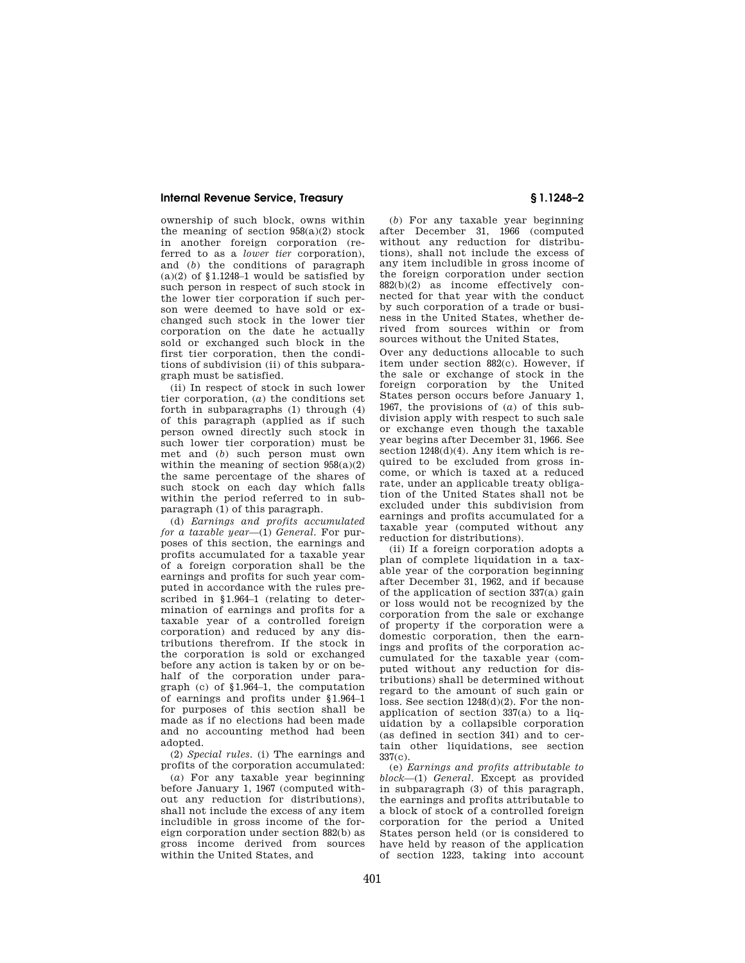# **Internal Revenue Service, Treasury § 1.1248–2**

ownership of such block, owns within the meaning of section  $958(a)(2)$  stock in another foreign corporation (referred to as a *lower tier* corporation), and (*b*) the conditions of paragraph  $(a)(2)$  of  $$1.1248-1$  would be satisfied by such person in respect of such stock in the lower tier corporation if such person were deemed to have sold or exchanged such stock in the lower tier corporation on the date he actually sold or exchanged such block in the first tier corporation, then the conditions of subdivision (ii) of this subparagraph must be satisfied.

(ii) In respect of stock in such lower tier corporation, (*a*) the conditions set forth in subparagraphs (1) through (4) of this paragraph (applied as if such person owned directly such stock in such lower tier corporation) must be met and (*b*) such person must own within the meaning of section  $958(a)(2)$ the same percentage of the shares of such stock on each day which falls within the period referred to in subparagraph (1) of this paragraph.

(d) *Earnings and profits accumulated for a taxable year*—(1) *General.* For purposes of this section, the earnings and profits accumulated for a taxable year of a foreign corporation shall be the earnings and profits for such year computed in accordance with the rules prescribed in §1.964–1 (relating to determination of earnings and profits for a taxable year of a controlled foreign corporation) and reduced by any distributions therefrom. If the stock in the corporation is sold or exchanged before any action is taken by or on behalf of the corporation under paragraph (c) of §1.964–1, the computation of earnings and profits under §1.964–1 for purposes of this section shall be made as if no elections had been made and no accounting method had been adopted.

(2) *Special rules.* (i) The earnings and profits of the corporation accumulated:

(*a*) For any taxable year beginning before January 1, 1967 (computed without any reduction for distributions), shall not include the excess of any item includible in gross income of the foreign corporation under section 882(b) as gross income derived from sources within the United States, and

(*b*) For any taxable year beginning after December 31, 1966 (computed without any reduction for distributions), shall not include the excess of any item includible in gross income of the foreign corporation under section 882(b)(2) as income effectively connected for that year with the conduct by such corporation of a trade or business in the United States, whether derived from sources within or from sources without the United States,

Over any deductions allocable to such item under section 882(c). However, if the sale or exchange of stock in the foreign corporation by the United States person occurs before January 1, 1967, the provisions of (*a*) of this subdivision apply with respect to such sale or exchange even though the taxable year begins after December 31, 1966. See section  $1248(d)(4)$ . Any item which is required to be excluded from gross income, or which is taxed at a reduced rate, under an applicable treaty obligation of the United States shall not be excluded under this subdivision from earnings and profits accumulated for a taxable year (computed without any reduction for distributions).

(ii) If a foreign corporation adopts a plan of complete liquidation in a taxable year of the corporation beginning after December 31, 1962, and if because of the application of section 337(a) gain or loss would not be recognized by the corporation from the sale or exchange of property if the corporation were a domestic corporation, then the earnings and profits of the corporation accumulated for the taxable year (computed without any reduction for distributions) shall be determined without regard to the amount of such gain or loss. See section 1248(d)(2). For the nonapplication of section 337(a) to a liquidation by a collapsible corporation (as defined in section 341) and to certain other liquidations, see section 337(c).

(e) *Earnings and profits attributable to block*—(1) *General.* Except as provided in subparagraph (3) of this paragraph, the earnings and profits attributable to a block of stock of a controlled foreign corporation for the period a United States person held (or is considered to have held by reason of the application of section 1223, taking into account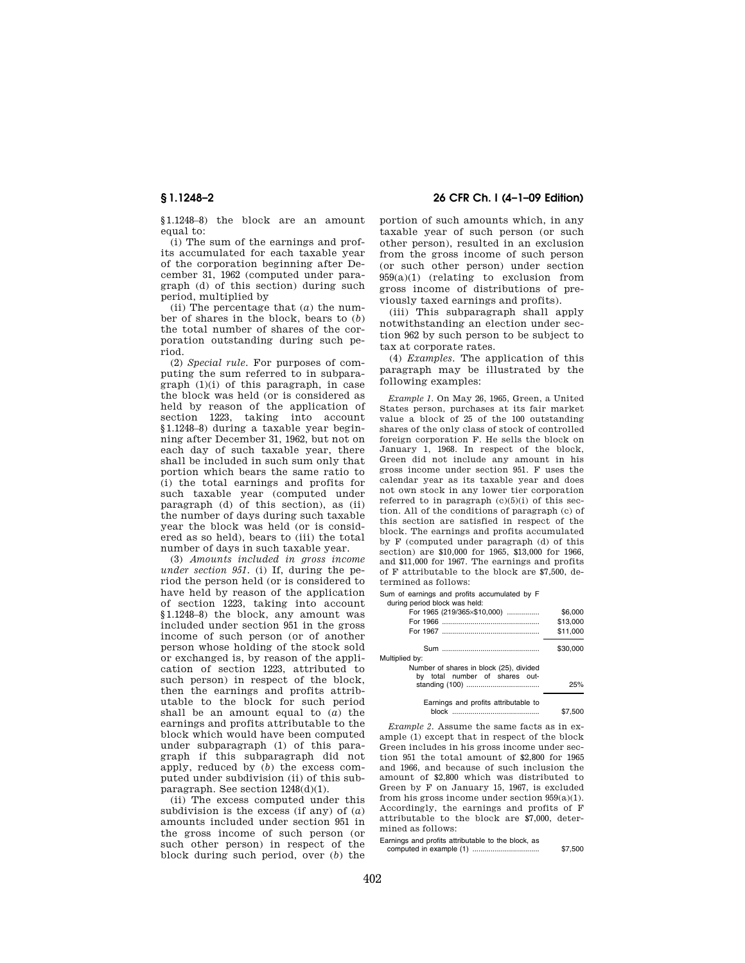**§ 1.1248–2 26 CFR Ch. I (4–1–09 Edition)** 

§1.1248–8) the block are an amount equal to:

(i) The sum of the earnings and profits accumulated for each taxable year of the corporation beginning after December 31, 1962 (computed under paragraph (d) of this section) during such period, multiplied by

(ii) The percentage that (*a*) the number of shares in the block, bears to (*b*) the total number of shares of the corporation outstanding during such period.

(2) *Special rule.* For purposes of computing the sum referred to in subparagraph (1)(i) of this paragraph, in case the block was held (or is considered as held by reason of the application of section 1223, taking into account §1.1248–8) during a taxable year beginning after December 31, 1962, but not on each day of such taxable year, there shall be included in such sum only that portion which bears the same ratio to (i) the total earnings and profits for such taxable year (computed under paragraph (d) of this section), as (ii) the number of days during such taxable year the block was held (or is considered as so held), bears to (iii) the total number of days in such taxable year.

(3) *Amounts included in gross income under section 951.* (i) If, during the period the person held (or is considered to have held by reason of the application of section 1223, taking into account §1.1248–8) the block, any amount was included under section 951 in the gross income of such person (or of another person whose holding of the stock sold or exchanged is, by reason of the application of section 1223, attributed to such person) in respect of the block, then the earnings and profits attributable to the block for such period shall be an amount equal to (*a*) the earnings and profits attributable to the block which would have been computed under subparagraph (1) of this paragraph if this subparagraph did not apply, reduced by (*b*) the excess computed under subdivision (ii) of this subparagraph. See section 1248(d)(1).

(ii) The excess computed under this subdivision is the excess (if any) of (*a*) amounts included under section 951 in the gross income of such person (or such other person) in respect of the block during such period, over (*b*) the portion of such amounts which, in any taxable year of such person (or such other person), resulted in an exclusion from the gross income of such person (or such other person) under section 959(a)(1) (relating to exclusion from gross income of distributions of previously taxed earnings and profits).

(iii) This subparagraph shall apply notwithstanding an election under section 962 by such person to be subject to tax at corporate rates.

(4) *Examples.* The application of this paragraph may be illustrated by the following examples:

*Example 1.* On May 26, 1965, Green, a United States person, purchases at its fair market value a block of 25 of the 100 outstanding shares of the only class of stock of controlled foreign corporation F. He sells the block on January 1, 1968. In respect of the block, Green did not include any amount in his gross income under section 951. F uses the calendar year as its taxable year and does not own stock in any lower tier corporation referred to in paragraph  $(c)(5)(i)$  of this section. All of the conditions of paragraph (c) of this section are satisfied in respect of the block. The earnings and profits accumulated by F (computed under paragraph (d) of this section) are \$10,000 for 1965, \$13,000 for 1966, and \$11,000 for 1967. The earnings and profits of F attributable to the block are \$7,500, determined as follows:

Sum of earnings and profits accumulated by F<br>during period block was held:

during period block y

|          | $38.11119$ points biobit frap notation  |
|----------|-----------------------------------------|
| \$6,000  | For 1965 (219/365×\$10,000)             |
| \$13,000 |                                         |
| \$11,000 |                                         |
| \$30,000 | Multiplied by:                          |
|          | Number of shares in block (25), divided |
|          | by total number of shares out-          |
| 25%      |                                         |
| \$7.500  | Earnings and profits attributable to    |

*Example 2.* Assume the same facts as in example (1) except that in respect of the block Green includes in his gross income under section 951 the total amount of \$2,800 for 1965 and 1966, and because of such inclusion the amount of \$2,800 which was distributed to Green by F on January 15, 1967, is excluded from his gross income under section 959(a)(1). Accordingly, the earnings and profits of F attributable to the block are \$7,000, determined as follows:

Earnings and profits attributable to the block, as computed in example (1) ................................. \$7,500